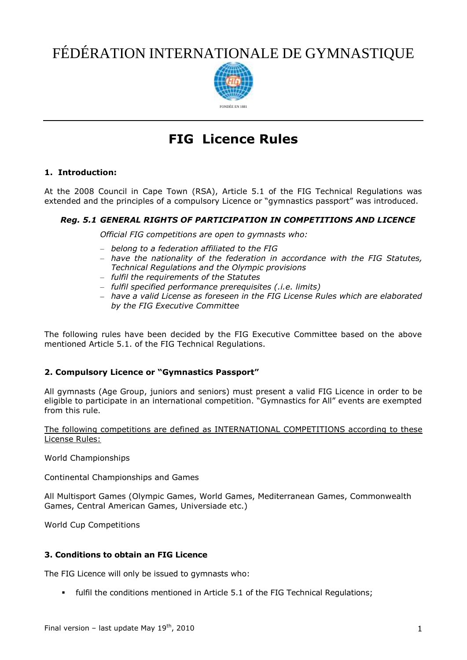# FÉDÉRATION INTERNATIONALE DE GYMNASTIQUE



# **FIG Licence Rules**

# **1. Introduction:**

At the 2008 Council in Cape Town (RSA), Article 5.1 of the FIG Technical Regulations was extended and the principles of a compulsory Licence or "gymnastics passport" was introduced.

# *Reg. 5.1 GENERAL RIGHTS OF PARTICIPATION IN COMPETITIONS AND LICENCE*

*Official FIG competitions are open to gymnasts who:*

- *belong to a federation affiliated to the FIG*
- *have the nationality of the federation in accordance with the FIG Statutes, Technical Regulations and the Olympic provisions*
- *fulfil the requirements of the Statutes*
- *fulfil specified performance prerequisites (.i.e. limits)*
- *have a valid License as foreseen in the FIG License Rules which are elaborated by the FIG Executive Committee*

The following rules have been decided by the FIG Executive Committee based on the above mentioned Article 5.1. of the FIG Technical Regulations.

# **2. Compulsory Licence or "Gymnastics Passport"**

All gymnasts (Age Group, juniors and seniors) must present a valid FIG Licence in order to be eligible to participate in an international competition. "Gymnastics for All" events are exempted from this rule.

The following competitions are defined as INTERNATIONAL COMPETITIONS according to these License Rules:

World Championships

Continental Championships and Games

All Multisport Games (Olympic Games, World Games, Mediterranean Games, Commonwealth Games, Central American Games, Universiade etc.)

World Cup Competitions

# **3. Conditions to obtain an FIG Licence**

The FIG Licence will only be issued to gymnasts who:

fulfil the conditions mentioned in Article 5.1 of the FIG Technical Regulations;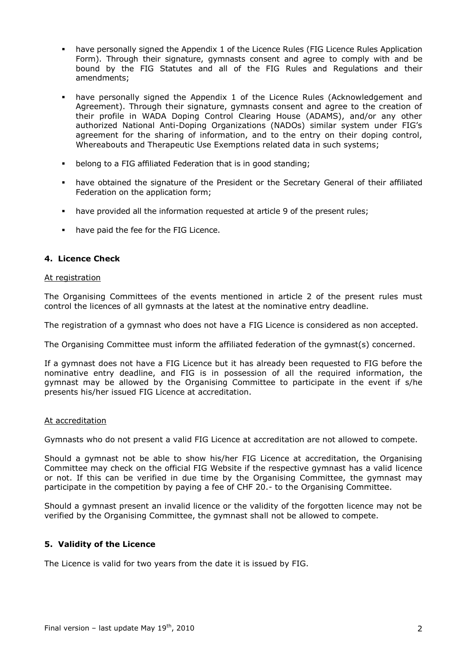- have personally signed the Appendix 1 of the Licence Rules (FIG Licence Rules Application Form). Through their signature, gymnasts consent and agree to comply with and be bound by the FIG Statutes and all of the FIG Rules and Regulations and their amendments;
- have personally signed the Appendix 1 of the Licence Rules (Acknowledgement and Agreement). Through their signature, gymnasts consent and agree to the creation of their profile in WADA Doping Control Clearing House (ADAMS), and/or any other authorized National Anti-Doping Organizations (NADOs) similar system under FIG's agreement for the sharing of information, and to the entry on their doping control, Whereabouts and Therapeutic Use Exemptions related data in such systems;
- belong to a FIG affiliated Federation that is in good standing;
- have obtained the signature of the President or the Secretary General of their affiliated Federation on the application form;
- have provided all the information requested at article 9 of the present rules;
- have paid the fee for the FIG Licence.

# **4. Licence Check**

#### At registration

The Organising Committees of the events mentioned in article 2 of the present rules must control the licences of all gymnasts at the latest at the nominative entry deadline.

The registration of a gymnast who does not have a FIG Licence is considered as non accepted.

The Organising Committee must inform the affiliated federation of the gymnast(s) concerned.

If a gymnast does not have a FIG Licence but it has already been requested to FIG before the nominative entry deadline, and FIG is in possession of all the required information, the gymnast may be allowed by the Organising Committee to participate in the event if s/he presents his/her issued FIG Licence at accreditation.

# At accreditation

Gymnasts who do not present a valid FIG Licence at accreditation are not allowed to compete.

Should a gymnast not be able to show his/her FIG Licence at accreditation, the Organising Committee may check on the official FIG Website if the respective gymnast has a valid licence or not. If this can be verified in due time by the Organising Committee, the gymnast may participate in the competition by paying a fee of CHF 20.- to the Organising Committee.

Should a gymnast present an invalid licence or the validity of the forgotten licence may not be verified by the Organising Committee, the gymnast shall not be allowed to compete.

# **5. Validity of the Licence**

The Licence is valid for two years from the date it is issued by FIG.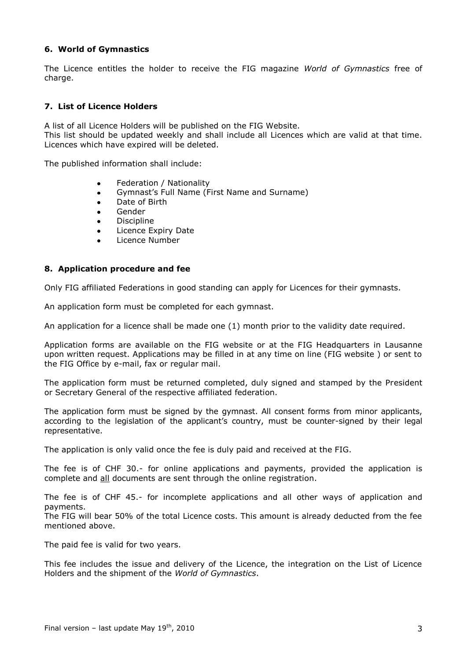# **6. World of Gymnastics**

The Licence entitles the holder to receive the FIG magazine *World of Gymnastics* free of charge.

# **7. List of Licence Holders**

A list of all Licence Holders will be published on the FIG Website.

This list should be updated weekly and shall include all Licences which are valid at that time. Licences which have expired will be deleted.

The published information shall include:

- Federation / Nationality
- Gymnast's Full Name (First Name and Surname)  $\bullet$
- Date of Birth  $\bullet$
- Gender
- **Discipline**
- Licence Expiry Date
- Licence Number

#### **8. Application procedure and fee**

Only FIG affiliated Federations in good standing can apply for Licences for their gymnasts.

An application form must be completed for each gymnast.

An application for a licence shall be made one (1) month prior to the validity date required.

Application forms are available on the FIG website or at the FIG Headquarters in Lausanne upon written request. Applications may be filled in at any time on line (FIG website ) or sent to the FIG Office by e-mail, fax or regular mail.

The application form must be returned completed, duly signed and stamped by the President or Secretary General of the respective affiliated federation.

The application form must be signed by the gymnast. All consent forms from minor applicants, according to the legislation of the applicant's country, must be counter-signed by their legal representative.

The application is only valid once the fee is duly paid and received at the FIG.

The fee is of CHF 30.- for online applications and payments, provided the application is complete and all documents are sent through the online registration.

The fee is of CHF 45.- for incomplete applications and all other ways of application and payments.

The FIG will bear 50% of the total Licence costs. This amount is already deducted from the fee mentioned above.

The paid fee is valid for two years.

This fee includes the issue and delivery of the Licence, the integration on the List of Licence Holders and the shipment of the *World of Gymnastics*.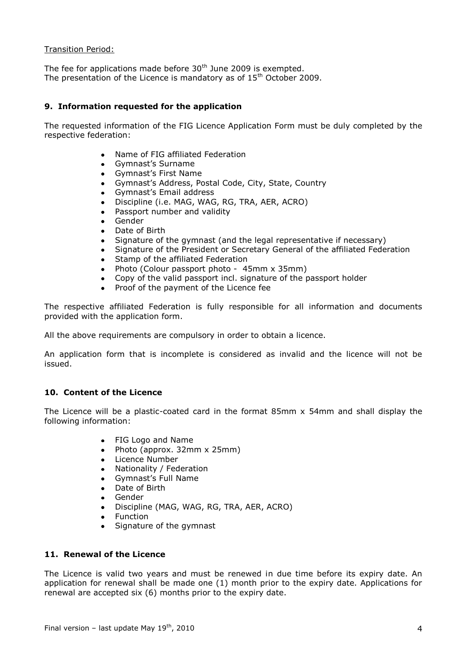Transition Period:

The fee for applications made before 30<sup>th</sup> June 2009 is exempted. The presentation of the Licence is mandatory as of  $15<sup>th</sup>$  October 2009.

# **9. Information requested for the application**

The requested information of the FIG Licence Application Form must be duly completed by the respective federation:

- Name of FIG affiliated Federation
- Gymnast's Surname  $\bullet$
- Gymnast's First Name
- Gymnast's Address, Postal Code, City, State, Country
- Gymnast's Email address
- Discipline (i.e. MAG, WAG, RG, TRA, AER, ACRO)
- Passport number and validity
- Gender
- Date of Birth
- Signature of the gymnast (and the legal representative if necessary)
- Signature of the President or Secretary General of the affiliated Federation
- Stamp of the affiliated Federation
- Photo (Colour passport photo 45mm x 35mm)
- Copy of the valid passport incl. signature of the passport holder
- Proof of the payment of the Licence fee

The respective affiliated Federation is fully responsible for all information and documents provided with the application form.

All the above requirements are compulsory in order to obtain a licence.

An application form that is incomplete is considered as invalid and the licence will not be issued.

# **10. Content of the Licence**

The Licence will be a plastic-coated card in the format 85mm x 54mm and shall display the following information:

- FIG Logo and Name
- Photo (approx. 32mm x 25mm)
- Licence Number
- Nationality / Federation
- Gymnast's Full Name
- Date of Birth
- Gender  $\bullet$
- Discipline (MAG, WAG, RG, TRA, AER, ACRO)
- Function
- Signature of the gymnast

# **11. Renewal of the Licence**

The Licence is valid two years and must be renewed in due time before its expiry date. An application for renewal shall be made one (1) month prior to the expiry date. Applications for renewal are accepted six (6) months prior to the expiry date.